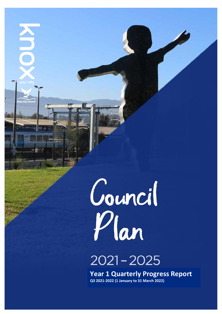

A<br>N

# $2021 - 2025$

**Year 1 Quarterly Progress Report Q3 2021-2022 (1 January to 31 March 2022)**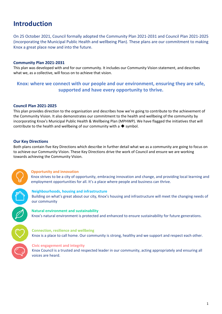# **Introduction**

On 25 October 2021, Council formally adopted the Community Plan 2021-2031 and Council Plan 2021-2025 (incorporating the Municipal Public Health and wellbeing Plan). These plans are our commitment to making Knox a great place now and into the future.

# **Community Plan 2021-2031**

This plan was developed with and for our community. It includes our Community Vision statement, and describes what we, as a collective, will focus on to achieve that vision.

# **Knox: where we connect with our people and our environment, ensuring they are safe, supported and have every opportunity to thrive.**

### **Council Plan 2021-2025**

This plan provides direction to the organisation and describes how we're going to contribute to the achievement of the Community Vision. It also demonstrates our commitment to the health and wellbeing of the community by incorporating Knox's Municipal Public Health & Wellbeing Plan (MPHWP). We have flagged the initiatives that will contribute to the health and wellbeing of our community with a  $\blacklozenge$  symbol.

# **Our Key Directions**

Both plans contain five Key Directions which describe in further detail what we as a community are going to focus on to achieve our Community Vision. These Key Directions drive the work of Council and ensure we are working towards achieving the Community Vision.



### **Opportunity and innovation**

Knox strives to be a city of opportunity, embracing innovation and change, and providing local learning and employment opportunities for all. It's a place where people and business can thrive.

#### **Neighbourhoods, housing and infrastructure**

Building on what's great about our city, Knox's housing and infrastructure will meet the changing needs of our community

### **Natural environment and sustainability**

Knox's natural environment is protected and enhanced to ensure sustainability for future generations.

#### **Connection, resilience and wellbeing**

Knox is a place to call home. Our community is strong, healthy and we support and respect each other.

#### **Civic engagement and integrity**

Knox Council is a trusted and respected leader in our community, acting appropriately and ensuring all voices are heard.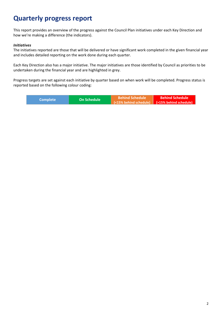# **Quarterly progress report**

This report provides an overview of the progress against the Council Plan initiatives under each Key Direction and how we're making a difference (the indicators).

# *Initiatives*

The initiatives reported are those that will be delivered or have significant work completed in the given financial year and includes detailed reporting on the work done during each quarter.

Each Key Direction also has a major initiative. The major initiatives are those identified by Council as priorities to be undertaken during the financial year and are highlighted in grey.

Progress targets are set against each initiative by quarter based on when work will be completed. Progress status is reported based on the following colour coding:

| Complete <b>\</b> | <b>LOn Schedule</b> | <b>Behind Schedule</b>                                                          | <b>Behind Schedule</b> |
|-------------------|---------------------|---------------------------------------------------------------------------------|------------------------|
|                   |                     | $\sqrt{(15\% \text{ behind schedule})}$ $\sqrt{(15\% \text{ behind schedule})}$ |                        |
|                   |                     |                                                                                 |                        |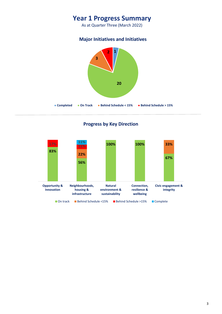# **Year 1 Progress Summary**

As at Quarter Three (March 2022)

# **Major Initiatives and Initiatives**



# **Progress by Key Direction**

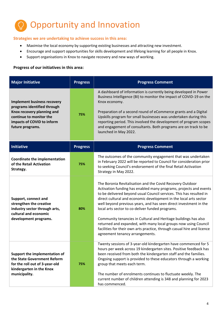

# **Strategies we are undertaking to achieve success in this area:**

- Maximise the local economy by supporting existing businesses and attracting new investment.
- Encourage and support opportunities for skills development and lifelong learning for all people in Knox.
- Support organisations in Knox to navigate recovery and new ways of working.

| <b>Major Initiative</b>                                                                                                                                                      | <b>Progress</b> | <b>Progress Comment</b>                                                                                                                                                                                                                                                                                                                                                                                                                                                                                                                                                                                                                                 |
|------------------------------------------------------------------------------------------------------------------------------------------------------------------------------|-----------------|---------------------------------------------------------------------------------------------------------------------------------------------------------------------------------------------------------------------------------------------------------------------------------------------------------------------------------------------------------------------------------------------------------------------------------------------------------------------------------------------------------------------------------------------------------------------------------------------------------------------------------------------------------|
| <b>Implement business recovery</b><br>programs identified through<br>Knox recovery planning and<br>continue to monitor the<br>impacts of COVID to inform<br>future programs. | 75%             | A dashboard of information is currently being developed in Power<br>Business Intelligence (BI) to monitor the impact of COVID-19 on the<br>Knox economy.<br>Preparation of a second round of eCommerce grants and a Digital<br>Upskills program for small businesses was undertaken during this<br>reporting period. This involved the development of program scopes<br>and engagement of consultants. Both programs are on track to be<br>launched in May 2022.                                                                                                                                                                                        |
| <b>Initiative</b>                                                                                                                                                            | <b>Progress</b> | <b>Progress Comment</b>                                                                                                                                                                                                                                                                                                                                                                                                                                                                                                                                                                                                                                 |
| <b>Coordinate the implementation</b><br>of the Retail Activation<br>Strategy.                                                                                                | 75%             | The outcomes of the community engagement that was undertaken<br>in February 2022 will be reported to Council for consideration prior<br>to seeking Council's endorsement of the final Retail Activation<br>Strategy in May 2022.                                                                                                                                                                                                                                                                                                                                                                                                                        |
| Support, connect and<br>strengthen the creative<br>industry sector through arts,<br>cultural and economic<br>development programs.                                           | 80%             | The Boronia Revitalisation and the Covid Recovery Outdoor<br>Activation funding has enabled many programs, projects and events<br>to be delivered beyond usual Council services. This has resulted in<br>direct cultural and economic development in the local arts sector<br>well beyond previous years, and has seen direct investment in the<br>local arts sector to co-deliver funded programs.<br>Community tenancies in Cultural and Heritage buildings has also<br>returned and expanded, with many local groups now using Council<br>facilities for their own arts practice, through casual hire and licence<br>agreement tenancy arrangements. |
| Support the implementation of<br>the State Government Reform<br>for the roll out of 3-year-old<br>kindergarten in the Knox<br>municipality.                                  | 75%             | Twenty sessions of 3-year-old kindergarten have commenced for 5<br>hours per week across 19 kindergarten sites. Positive feedback has<br>been received from both the kindergarten staff and the families.<br>Ongoing support is provided to these educators through a working<br>group that meets each term.<br>The number of enrolments continues to fluctuate weekly. The<br>current number of children attending is 348 and planning for 2023<br>has commenced.                                                                                                                                                                                      |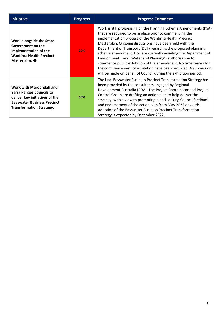| <b>Initiative</b>                                                                                                                                                     | <b>Progress</b> | <b>Progress Comment</b>                                                                                                                                                                                                                                                                                                                                                                                                                                                                                                                                                                                                                                   |
|-----------------------------------------------------------------------------------------------------------------------------------------------------------------------|-----------------|-----------------------------------------------------------------------------------------------------------------------------------------------------------------------------------------------------------------------------------------------------------------------------------------------------------------------------------------------------------------------------------------------------------------------------------------------------------------------------------------------------------------------------------------------------------------------------------------------------------------------------------------------------------|
| Work alongside the State<br>Government on the<br>implementation of the<br><b>Wantirna Health Precinct</b><br>Masterplan. $\blacklozenge$                              | 20%             | Work is still progressing on the Planning Scheme Amendments (PSA)<br>that are required to be in place prior to commencing the<br>implementation process of the Wantirna Health Precinct<br>Masterplan. Ongoing discussions have been held with the<br>Department of Transport (DoT) regarding the proposed planning<br>scheme amendment. DoT are currently awaiting the Department of<br>Environment, Land, Water and Planning's authorisation to<br>commence public exhibition of the amendment. No timeframes for<br>the commencement of exhibition have been provided. A submission<br>will be made on behalf of Council during the exhibition period. |
| Work with Maroondah and<br><b>Yarra Ranges Councils to</b><br>deliver key initiatives of the<br><b>Bayswater Business Precinct</b><br><b>Transformation Strategy.</b> | 60%             | The final Bayswater Business Precinct Transformation Strategy has<br>been provided by the consultants engaged by Regional<br>Development Australia (RDA). The Project Coordinator and Project<br>Control Group are drafting an action plan to help deliver the<br>strategy, with a view to promoting it and seeking Council feedback<br>and endorsement of the action plan from May 2022 onwards.<br>Adoption of the Bayswater Business Precinct Transformation<br>Strategy is expected by December 2022.                                                                                                                                                 |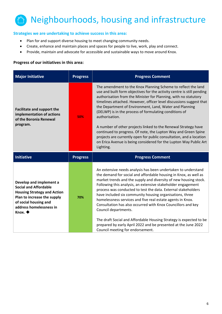

# **Strategies we are undertaking to achieve success in this area:**

- Plan for and support diverse housing to meet changing community needs.
- Create, enhance and maintain places and spaces for people to live, work, play and connect.
- Provide, maintain and advocate for accessible and sustainable ways to move around Knox.

| <b>Major Initiative</b>                                                                              | <b>Progress</b> | <b>Progress Comment</b>                                                                                                                                                                                                                                                                                                                                                                                                                                                                                                                                                                                                                                                                                               |
|------------------------------------------------------------------------------------------------------|-----------------|-----------------------------------------------------------------------------------------------------------------------------------------------------------------------------------------------------------------------------------------------------------------------------------------------------------------------------------------------------------------------------------------------------------------------------------------------------------------------------------------------------------------------------------------------------------------------------------------------------------------------------------------------------------------------------------------------------------------------|
| <b>Facilitate and support the</b><br>implementation of actions<br>of the Boronia Renewal<br>program. | 50%             | The amendment to the Knox Planning Scheme to reflect the land<br>use and built form objectives for the activity centre is still pending<br>authorisation from the Minister for Planning, with no statutory<br>timelines attached. However, officer level discussions suggest that<br>the Department of Environment, Land, Water and Planning<br>(DELWP) is in the process of formulating conditions of<br>authorisation.<br>A number of other projects linked to the Renewal Strategy have<br>continued to progress. Of note, the Lupton Way and Green Spine<br>projects are currently open for public consultation, and a location<br>on Erica Avenue is being considered for the Lupton Way Public Art<br>Lighting. |
| <b>Initiative</b>                                                                                    | <b>Progress</b> | <b>Progress Comment</b>                                                                                                                                                                                                                                                                                                                                                                                                                                                                                                                                                                                                                                                                                               |
|                                                                                                      |                 |                                                                                                                                                                                                                                                                                                                                                                                                                                                                                                                                                                                                                                                                                                                       |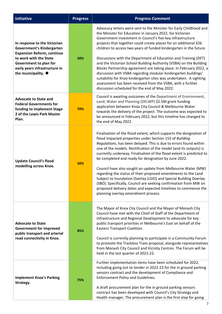| <b>Initiative</b>                                                                                                                                                                                                        | <b>Progress</b> | <b>Progress Comment</b>                                                                                                                                                                                                                                                                                                                                                                                                                                                                                                                                                                                                                                                                                                                                                                                       |
|--------------------------------------------------------------------------------------------------------------------------------------------------------------------------------------------------------------------------|-----------------|---------------------------------------------------------------------------------------------------------------------------------------------------------------------------------------------------------------------------------------------------------------------------------------------------------------------------------------------------------------------------------------------------------------------------------------------------------------------------------------------------------------------------------------------------------------------------------------------------------------------------------------------------------------------------------------------------------------------------------------------------------------------------------------------------------------|
| In response to the Victorian<br>Government's Kindergarten<br><b>Expansion Reform, continue</b><br>to work with the State<br>Government to plan for<br>early years infrastructure in<br>the municipality. $\blacklozenge$ | 50%             | Advocacy letters were sent to the Minister for Early Childhood and<br>the Minister for Education in January 2022, for Victorian<br>Government investment in Council's five key infrastructure<br>projects that together could create places for an additional 326<br>children to access two years of funded kindergarten in the future.<br>Discussions with the Department of Education and Training (DET)<br>and the Victorian School Building Authority (VSBA) on the Building<br>Blocks Partnership agreement are taking place. In February 2022, a<br>discussion with VSBA regarding modular kindergarten buildings'<br>suitability for Knox kindergarten sites was undertaken. A sighting<br>assessment has been received from the VSBA, with a further<br>discussion scheduled for the end of May 2022. |
| <b>Advocate to State and</b><br><b>Federal Governments for</b><br>funding to implement Stage<br>2 of the Lewis Park Master<br>Plan.                                                                                      | 70%             | Council is awaiting outcomes of the Department of Environment,<br>Land, Water and Planning (DELWP) \$2.5M grant funding<br>application between Knox City Council & Melbourne Water<br>towards the delivery of the project. The outcome was expected to<br>be announced in February 2022, but this timeline has changed to<br>the end of May 2022.                                                                                                                                                                                                                                                                                                                                                                                                                                                             |
| <b>Update Council's flood</b><br>modelling across Knox.                                                                                                                                                                  | 50%             | Finalisation of the flood extent, which supports the designation of<br>flood impacted properties under Section 153 of Building<br>Regulations, has been delayed. This is due to errors found within<br>one of the models. Rectification of the model (and its outputs) is<br>currently underway. Finalisation of the flood extent is predicted to<br>be completed and ready for designation by June 2022.<br>Council have also sought an update from Melbourne Water (MW)<br>regarding the status of their proposed amendments to the Land<br>Subject to Inundation Overlay (LSIO) and Special Building Overlay<br>(SBO). Specifically, Council are seeking confirmation from MW on<br>proposed delivery dates and expected timelines to commence the<br>planning overlay amendment process.                  |
| <b>Advocate to State</b><br><b>Government for improved</b><br>public transport and arterial<br>road connectivity in Knox.                                                                                                | 85%             | The Mayor of Knox City Council and the Mayor of Monash City<br>Council have met with the Chief of Staff of the Department of<br>Infrastructure and Regional Development to advocate for key<br>public transport priorities in Melbourne's East on behalf of the<br>Eastern Transport Coalition.<br>Council is currently planning to participate in a Community Forum<br>to promote the Trackless Tram proposal, alongside representatives<br>from Monash City Council and Vicinity Centres. The Forum will be<br>held in the last quarter of 2021-22.                                                                                                                                                                                                                                                         |
| <b>Implement Knox's Parking</b><br>Strategy.                                                                                                                                                                             | 75%             | Further implementation items have been scheduled for 2022,<br>including going out to tender in 2022-23 for the in ground parking<br>sensors contract and the development of Compliance and<br><b>Enforcement Policy and Guidelines.</b><br>A draft procurement plan for the in ground parking sensors<br>contract has been developed with Council's City Strategy and<br>Health manager. The procurement plan is the first step for going                                                                                                                                                                                                                                                                                                                                                                     |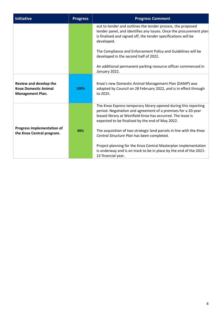| <b>Initiative</b>                                                                | <b>Progress</b> | <b>Progress Comment</b>                                                                                                                                                                                                                             |
|----------------------------------------------------------------------------------|-----------------|-----------------------------------------------------------------------------------------------------------------------------------------------------------------------------------------------------------------------------------------------------|
|                                                                                  |                 | out to tender and outlines the tender process, the proposed<br>tender panel, and identifies any issues. Once the procurement plan<br>is finalised and signed off, the tender specifications will be<br>developed.                                   |
|                                                                                  |                 | The Compliance and Enforcement Policy and Guidelines will be<br>developed in the second half of 2022.                                                                                                                                               |
|                                                                                  |                 | An additional permanent parking resource officer commenced in<br>January 2022.                                                                                                                                                                      |
| Review and develop the<br><b>Knox Domestic Animal</b><br><b>Management Plan.</b> | 100%            | Knox's new Domestic Animal Management Plan (DAMP) was<br>adopted by Council on 28 February 2022, and is in effect through<br>to 2025.                                                                                                               |
|                                                                                  |                 | The Knox Express temporary library opened during this reporting<br>period. Negotiation and agreement of a premises for a 20-year<br>leased library at Westfield Knox has occurred. The lease is<br>expected to be finalised by the end of May 2022. |
| <b>Progress implementation of</b><br>the Knox Central program.                   | 90%             | The acquisition of two strategic land parcels in line with the Knox<br>Central Structure Plan has been completed.                                                                                                                                   |
|                                                                                  |                 | Project planning for the Knox Central Masterplan implementation<br>is underway and is on track to be in place by the end of the 2021-<br>22 financial year.                                                                                         |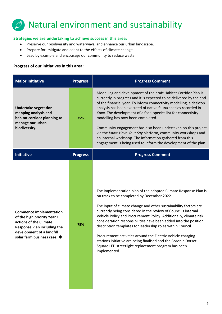# Natural environment and sustainability

# **Strategies we are undertaking to achieve success in this area:**

- Preserve our biodiversity and waterways, and enhance our urban landscape.
- Prepare for, mitigate and adapt to the effects of climate change.
- Lead by example and encourage our community to reduce waste.

| <b>Major Initiative</b>                                                                                                                                                                   | <b>Progress</b> | <b>Progress Comment</b>                                                                                                                                                                                                                                                                                                                                                                                                                                                                                                                                                                                                                                            |
|-------------------------------------------------------------------------------------------------------------------------------------------------------------------------------------------|-----------------|--------------------------------------------------------------------------------------------------------------------------------------------------------------------------------------------------------------------------------------------------------------------------------------------------------------------------------------------------------------------------------------------------------------------------------------------------------------------------------------------------------------------------------------------------------------------------------------------------------------------------------------------------------------------|
| <b>Undertake vegetation</b><br>mapping analysis and<br>habitat corridor planning to<br>manage our urban<br>biodiversity.                                                                  | 75%             | Modelling and development of the draft Habitat Corridor Plan is<br>currently in progress and it is expected to be delivered by the end<br>of the financial year. To inform connectivity modelling, a desktop<br>analysis has been executed of native fauna species recorded in<br>Knox. The development of a focal species list for connectivity<br>modelling has now been completed.<br>Community engagement has also been undertaken on this project<br>via the Knox: Have Your Say platform, community workshops and<br>an internal workshop. The information gathered from this<br>engagement is being used to inform the development of the plan.             |
| <b>Initiative</b>                                                                                                                                                                         | <b>Progress</b> | <b>Progress Comment</b>                                                                                                                                                                                                                                                                                                                                                                                                                                                                                                                                                                                                                                            |
| <b>Commence implementation</b><br>of the high priority Year 1<br>actions of the Climate<br><b>Response Plan including the</b><br>development of a landfill<br>solar farm business case. ◆ | 75%             | The implementation plan of the adopted Climate Response Plan is<br>on track to be completed by December 2022.<br>The input of climate change and other sustainability factors are<br>currently being considered in the review of Council's internal<br>Vehicle Policy and Procurement Policy. Additionally, climate risk<br>consideration responsibilities have been added into the position<br>description templates for leadership roles within Council.<br>Procurement activities around the Electric Vehicle charging<br>stations initiative are being finalised and the Boronia Dorset<br>Square LED streetlight replacement program has been<br>implemented. |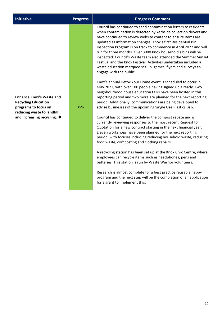| <b>Initiative</b>                                                                                                                                                | <b>Progress</b> | <b>Progress Comment</b>                                                                                                                                                                                                                                                                                                                                                                                                                                                                                                                                                                                                                                                                                                                                                                                                                                                                                                                                                                                                                                                                                                                                                                                                                                                                                                                                                                                                                                                                                                                                                                                                                                                                                                                                                                                         |
|------------------------------------------------------------------------------------------------------------------------------------------------------------------|-----------------|-----------------------------------------------------------------------------------------------------------------------------------------------------------------------------------------------------------------------------------------------------------------------------------------------------------------------------------------------------------------------------------------------------------------------------------------------------------------------------------------------------------------------------------------------------------------------------------------------------------------------------------------------------------------------------------------------------------------------------------------------------------------------------------------------------------------------------------------------------------------------------------------------------------------------------------------------------------------------------------------------------------------------------------------------------------------------------------------------------------------------------------------------------------------------------------------------------------------------------------------------------------------------------------------------------------------------------------------------------------------------------------------------------------------------------------------------------------------------------------------------------------------------------------------------------------------------------------------------------------------------------------------------------------------------------------------------------------------------------------------------------------------------------------------------------------------|
| <b>Enhance Knox's Waste and</b><br><b>Recycling Education</b><br>programs to focus on<br>reducing waste to landfill<br>and increasing recycling. $\blacklozenge$ | 75%             | Council has continued to send contamination letters to residents<br>when contamination is detected by kerbside collection drivers and<br>have continued to review website content to ensure items are<br>updated as information changes. Knox's first Residential Bin<br>Inspection Program is on track to commence in April 2022 and will<br>run for three months. Over 3000 Knox household's bins will be<br>inspected. Council's Waste team also attended the Summer Sunset<br>Festival and the Knox Festival. Activities undertaken included a<br>waste education marquee set-up, games, flyers and surveys to<br>engage with the public.<br>Knox's annual Detox Your Home event is scheduled to occur in<br>May 2022, with over 100 people having signed up already. Two<br>neighbourhood house education talks have been hosted in this<br>reporting period and two more are planned for the next reporting<br>period. Additionally, communications are being developed to<br>advise businesses of the upcoming Single Use Plastics Ban.<br>Council has continued to deliver the compost rebate and is<br>currently reviewing responses to the most recent Request for<br>Quotation for a new contract starting in the next financial year.<br>Eleven workshops have been planned for the next reporting<br>period, with focuses including reducing household waste, reducing<br>food waste, composting and clothing repairs.<br>A recycling station has been set up at the Knox Civic Centre, where<br>employees can recycle items such as headphones, pens and<br>batteries. This station is run by Waste Warrior volunteers.<br>Research is almost complete for a best practice reusable nappy<br>program and the next step will be the completion of an application<br>for a grant to implement this. |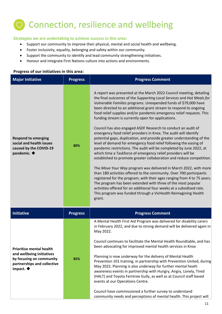# $\heartsuit$  Connection, resilience and wellbeing

# **Strategies we are undertaking to achieve success in this area:**

- Support our community to improve their physical, mental and social health and wellbeing.
- Foster inclusivity, equality, belonging and safety within our community.
- Support the community to identify and lead community strengthening initiatives.
- Honour and integrate First Nations culture into actions and environments.

| <b>Major Initiative</b>                                                                                                                            | <b>Progress</b> | <b>Progress Comment</b>                                                                                                                                                                                                                                                                                                                                                                                                                                                                                                                                                                                                                                                                                                                                                                                                                                                                                                                                                                                                                                                                                                                                                                                                                                                                                                                                         |
|----------------------------------------------------------------------------------------------------------------------------------------------------|-----------------|-----------------------------------------------------------------------------------------------------------------------------------------------------------------------------------------------------------------------------------------------------------------------------------------------------------------------------------------------------------------------------------------------------------------------------------------------------------------------------------------------------------------------------------------------------------------------------------------------------------------------------------------------------------------------------------------------------------------------------------------------------------------------------------------------------------------------------------------------------------------------------------------------------------------------------------------------------------------------------------------------------------------------------------------------------------------------------------------------------------------------------------------------------------------------------------------------------------------------------------------------------------------------------------------------------------------------------------------------------------------|
| <b>Respond to emerging</b><br>social and health issues<br>caused by the COVID-19<br>pandemic. $\blacklozenge$                                      | 80%             | A report was presented at the March 2022 Council meeting, detailing<br>the final outcomes of the Supporting Local Services and Hot Meals for<br>Vulnerable Families programs. Unexpended funds of \$79,000 have<br>been directed to an additional grant stream to respond to ongoing<br>food relief supplies and/or pandemic emergency relief requests. This<br>funding stream is currently open for applications.<br>Council has also engaged ASDF Research to conduct an audit of<br>emergency food relief providers in Knox. The audit will identify<br>potential gaps, duplication, and provide greater understanding of the<br>level of demand for emergency food relief following the easing of<br>pandemic restrictions. The audit will be completed by June 2022, at<br>which time a Taskforce of emergency relief providers will be<br>established to promote greater collaboration and reduce competition.<br>The Move Your Way program was delivered in March 2022, with more<br>than 180 activities offered to the community. Over 700 participants<br>registered for the program, with their ages ranging from 4 to 75 years.<br>The program has been extended with three of the most popular<br>activities offered for an additional four weeks at a subsidised rate.<br>This program was funded through a VicHealth Reimagining Health<br>grant. |
| <b>Initiative</b>                                                                                                                                  | <b>Progress</b> | <b>Progress Comment</b>                                                                                                                                                                                                                                                                                                                                                                                                                                                                                                                                                                                                                                                                                                                                                                                                                                                                                                                                                                                                                                                                                                                                                                                                                                                                                                                                         |
| <b>Prioritise mental health</b><br>and wellbeing initiatives<br>by focusing on community<br>partnerships and collective<br>impact. $\blacklozenge$ | 85%             | A Mental Health First Aid Program was delivered for disability carers<br>in February 2022, and due to strong demand will be delivered again in<br>May 2022.<br>Council continues to facilitate the Mental Health Roundtable, and has<br>been advocating for improved mental health services in Knox<br>Planning is now underway for the delivery of Mental Health<br>Prevention 101 training, in partnership with Prevention United, during<br>May 2022. Planning is also underway for further mental heath<br>awareness events in partnership with Hungry, Angry, Lonely, Tired<br>(HALT) and Toyota Ferntree Gully, as well as at Council staff based<br>events at our Operations Centre.<br>Council have commissioned a further survey to understand                                                                                                                                                                                                                                                                                                                                                                                                                                                                                                                                                                                                         |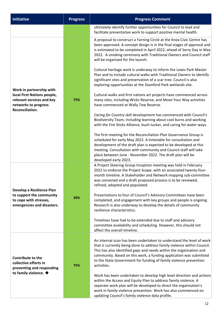| <b>Initiative</b>                                                                                                               | <b>Progress</b> | <b>Progress Comment</b>                                                                                                                                                                                                                                                                                                                                                                                                                                                                                                                                                                                                                                                                                                                                                                                                                                                                                                                                                                                                                                                                                                                                                                                                                                                                                                                                                         |  |
|---------------------------------------------------------------------------------------------------------------------------------|-----------------|---------------------------------------------------------------------------------------------------------------------------------------------------------------------------------------------------------------------------------------------------------------------------------------------------------------------------------------------------------------------------------------------------------------------------------------------------------------------------------------------------------------------------------------------------------------------------------------------------------------------------------------------------------------------------------------------------------------------------------------------------------------------------------------------------------------------------------------------------------------------------------------------------------------------------------------------------------------------------------------------------------------------------------------------------------------------------------------------------------------------------------------------------------------------------------------------------------------------------------------------------------------------------------------------------------------------------------------------------------------------------------|--|
|                                                                                                                                 |                 | ultimately identify further opportunities for Council to lead and<br>facilitate preventative work to support positive mental health.                                                                                                                                                                                                                                                                                                                                                                                                                                                                                                                                                                                                                                                                                                                                                                                                                                                                                                                                                                                                                                                                                                                                                                                                                                            |  |
| Work in partnership with<br>local First Nations people,<br>relevant services and key<br>networks to progress<br>Reconciliation. | 75%             | A proposal to construct a Yarning Circle at the Knox Civic Centre has<br>been approved. A concept design is in the final stages of approval and<br>is estimated to be completed in April 2022, ahead of Sorry Day in May<br>2022. A smoking ceremony with Traditional Owners and Council staff<br>will be organised for the launch.<br>Cultural heritage work is underway to inform the Lewis Park Master<br>Plan and to include cultural walks with Traditional Owners to identify<br>significant sites and preservation of a scar tree. Council is also<br>exploring opportunities at the Stamford Park wetlands site.<br>Cultural walks and first nations art projects have commenced across<br>many sites, including Wicks Reserve, and Move Your Way activities<br>have commenced at Wally Tew Reserve.<br>Caring for Country skill development has commenced with Council's<br>Biodiversity Team, including learning about cool burns and working<br>with the Fire Sticks Alliance, bush tucker, and caring for water ways.<br>The first meeting for the Reconciliation Plan Governance Group is<br>scheduled for early May 2022. A timetable for consultation and<br>development of the draft plan is expected to be developed at this<br>meeting. Consultation with community and Council staff will take<br>place between June - November 2022. The draft plan will be |  |
| Develop a Resilience Plan<br>to support the community<br>to cope with stresses,<br>emergencies and disasters.                   | 30%             | developed early 2023.<br>A Project Steering Group Inception meeting was held in February<br>2022 to endorse the Project Scope, with an associated twenty-four-<br>month timeline. A Stakeholder and Network mapping sub-committee<br>was convened and a draft proposed process is to be reviewed,<br>refined, adopted and populated.<br>Presentations to four of Council's Advisory Committees have been<br>completed, and engagement with key groups and people is ongoing.<br>Research is also underway to develop the details of community<br>resilience characteristics.<br>Timelines have had to be extended due to staff and advisory<br>committee availability and scheduling. However, this should not<br>affect the overall timeline.                                                                                                                                                                                                                                                                                                                                                                                                                                                                                                                                                                                                                                  |  |
| Contribute to the<br>collective efforts in<br>preventing and responding<br>to family violence. $\blacklozenge$                  | 75%             | An internal scan has been undertaken to understand the level of work<br>that is currently being done to address family violence within Council.<br>This has also identified gaps and needs within the organisation and<br>community. Based on this work, a funding application was submitted<br>to the State Government for funding of family violence prevention<br>activities.<br>Work has been undertaken to develop high level direction and actions<br>within the Access and Equity Plan to address family violence. A<br>separate work plan will be developed to direct the organisation's<br>work in family violence prevention. Work has also commenced on<br>updating Council's family violence data profile.                                                                                                                                                                                                                                                                                                                                                                                                                                                                                                                                                                                                                                                          |  |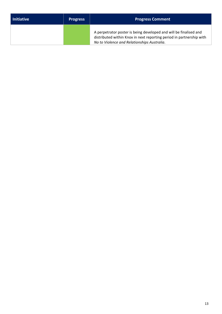| l Initiative | <b>Progress</b> | <b>Progress Comment</b>                                                                                                                                                                  |
|--------------|-----------------|------------------------------------------------------------------------------------------------------------------------------------------------------------------------------------------|
|              |                 | A perpetrator poster is being developed and will be finalised and<br>distributed within Knox in next reporting period in partnership with<br>No to Violence and Relationships Australia. |